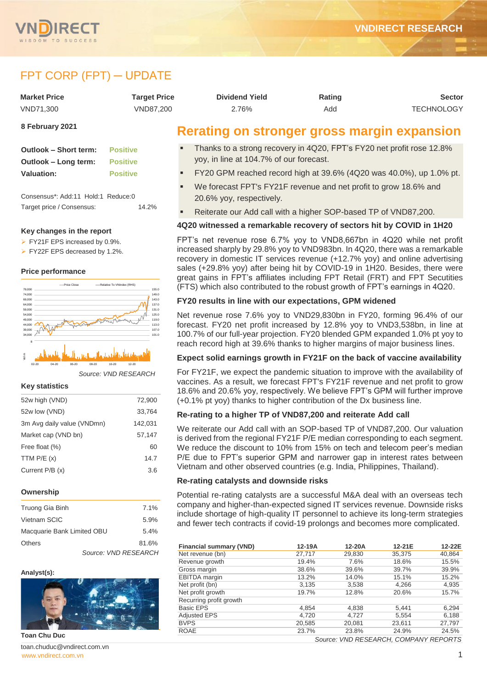

# FPT CORP (FPT) ─ UPDATE

| <b>Market Price</b> | Tarqet Price | <b>Dividend Yield</b>                       | Rating | <b>Sector</b>     |
|---------------------|--------------|---------------------------------------------|--------|-------------------|
| VND71,300           | VND87.200    | 2.76%                                       | Add    | <b>TECHNOLOGY</b> |
| 8 February 2021     |              | Rerating on stronger gross margin expansion |        |                   |

| <b>Positive</b> |
|-----------------|
| <b>Positive</b> |
| <b>Positive</b> |
|                 |

Consensus\*: Add:11 Hold:1 Reduce:0 Target price / Consensus: 14.2%

## **Key changes in the report**

 $\triangleright$  FY21F EPS increased by 0.9%.

FY22F EPS decreased by 1.2%.

## **Price performance**





*Source: VND RESEARCH*

## **Key statistics**

| 52w high (VND)             | 72,900  |
|----------------------------|---------|
| 52w low (VND)              | 33,764  |
| 3m Avg daily value (VNDmn) | 142,031 |
| Market cap (VND bn)        | 57,147  |
| Free float (%)             | 60      |
| TTM $P/E(x)$               | 14.7    |
| Current P/B (x)            | 3.6     |
|                            |         |

## **Ownership**

| Truong Gia Binh            | 7.1%                 |
|----------------------------|----------------------|
| Vietnam SCIC               | 5.9%                 |
| Macquarie Bank Limited OBU | 5.4%                 |
| <b>Others</b>              | 81.6%                |
|                            | Source: VND RESEARCH |

## **Analyst(s):**



**Toan Chu Duc**

[www.vndirect.com.vn](file:///C:/Users/Andre/Downloads/www.vndirect.com.vn) 1 toan.chuduc@vndirect.com.vn

# **Rerating on stronger gross margin expansion**

- Thanks to a strong recovery in 4Q20, FPT's FY20 net profit rose 12.8% yoy, in line at 104.7% of our forecast.
- FY20 GPM reached record high at 39.6% (4Q20 was 40.0%), up 1.0% pt.
- We forecast FPT's FY21F revenue and net profit to grow 18.6% and 20.6% yoy, respectively.
- Reiterate our Add call with a higher SOP-based TP of VND87,200.

# **4Q20 witnessed a remarkable recovery of sectors hit by COVID in 1H20**

FPT's net revenue rose 6.7% yoy to VND8,667bn in 4Q20 while net profit increased sharply by 29.8% yoy to VND983bn. In 4Q20, there was a remarkable recovery in domestic IT services revenue (+12.7% yoy) and online advertising sales (+29.8% yoy) after being hit by COVID-19 in 1H20. Besides, there were great gains in FPT's affiliates including FPT Retail (FRT) and FPT Secutities (FTS) which also contributed to the robust growth of FPT's earnings in 4Q20.

# **FY20 results in line with our expectations, GPM widened**

Net revenue rose 7.6% yoy to VND29,830bn in FY20, forming 96.4% of our forecast. FY20 net profit increased by 12.8% yoy to VND3,538bn, in line at 100.7% of our full-year projection. FY20 blended GPM expanded 1.0% pt yoy to reach record high at 39.6% thanks to higher margins of major business lines.

# **Expect solid earnings growth in FY21F on the back of vaccine availability**

For FY21F, we expect the pandemic situation to improve with the availability of vaccines. As a result, we forecast FPT's FY21F revenue and net profit to grow 18.6% and 20.6% yoy, respectively. We believe FPT's GPM will further improve (+0.1% pt yoy) thanks to higher contribution of the Dx business line.

# **Re-rating to a higher TP of VND87,200 and reiterate Add call**

We reiterate our Add call with an SOP-based TP of VND87,200. Our valuation is derived from the regional FY21F P/E median corresponding to each segment. We reduce the discount to 10% from 15% on tech and telecom peer's median P/E due to FPT's superior GPM and narrower gap in interest rates between Vietnam and other observed countries (e.g. India, Philippines, Thailand).

# **Re-rating catalysts and downside risks**

Potential re-rating catalysts are a successful M&A deal with an overseas tech company and higher-than-expected signed IT services revenue. Downside risks include shortage of high-quality IT personnel to achieve its long-term strategies and fewer tech contracts if covid-19 prolongs and becomes more complicated.

| <b>Financial summary (VND)</b> | 12-19A | 12-20A | 12-21E | 12-22E |
|--------------------------------|--------|--------|--------|--------|
| Net revenue (bn)               | 27,717 | 29,830 | 35,375 | 40,864 |
| Revenue growth                 | 19.4%  | 7.6%   | 18.6%  | 15.5%  |
| Gross margin                   | 38.6%  | 39.6%  | 39.7%  | 39.9%  |
| <b>EBITDA</b> margin           | 13.2%  | 14.0%  | 15.1%  | 15.2%  |
| Net profit (bn)                | 3,135  | 3,538  | 4,266  | 4,935  |
| Net profit growth              | 19.7%  | 12.8%  | 20.6%  | 15.7%  |
| Recurring profit growth        |        |        |        |        |
| <b>Basic EPS</b>               | 4,854  | 4,838  | 5,441  | 6,294  |
| <b>Adjusted EPS</b>            | 4,720  | 4,727  | 5,554  | 6,188  |
| <b>BVPS</b>                    | 20,585 | 20,081 | 23,611 | 27,797 |
| <b>ROAE</b>                    | 23.7%  | 23.8%  | 24.9%  | 24.5%  |

*Source: VND RESEARCH, COMPANY REPORTS*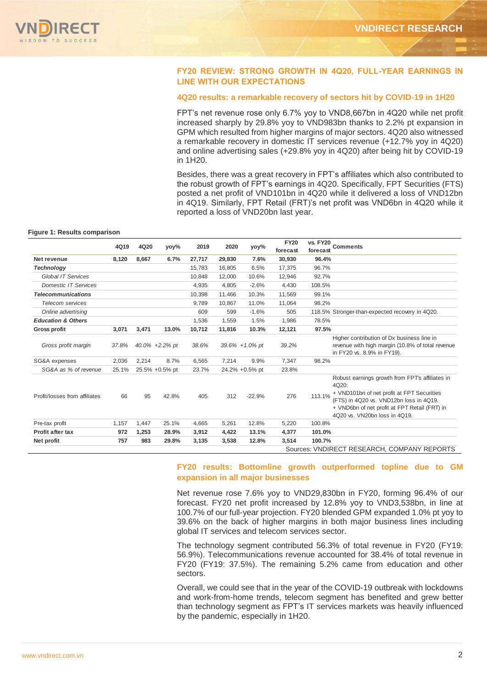# **FY20 REVIEW: STRONG GROWTH IN 4Q20, FULL-YEAR EARNINGS IN LINE WITH OUR EXPECTATIONS**

## **4Q20 results: a remarkable recovery of sectors hit by COVID-19 in 1H20**

FPT's net revenue rose only 6.7% yoy to VND8,667bn in 4Q20 while net profit increased sharply by 29.8% yoy to VND983bn thanks to 2.2% pt expansion in GPM which resulted from higher margins of major sectors. 4Q20 also witnessed a remarkable recovery in domestic IT services revenue (+12.7% yoy in 4Q20) and online advertising sales (+29.8% yoy in 4Q20) after being hit by COVID-19 in 1H20.

Besides, there was a great recovery in FPT's affiliates which also contributed to the robust growth of FPT's earnings in 4Q20. Specifically, FPT Securities (FTS) posted a net profit of VND101bn in 4Q20 while it delivered a loss of VND12bn in 4Q19. Similarly, FPT Retail (FRT)'s net profit was VND6bn in 4Q20 while it reported a loss of VND20bn last year.

#### **Figure 1: Results comparison**

|                               | 4Q19  | 4Q20  | yoy%           | 2019   | 2020   | yoy%                | <b>FY20</b><br>forecast | <b>vs. FY20</b><br>forecast | <b>Comments</b>                                                                                                                                                                                                                    |
|-------------------------------|-------|-------|----------------|--------|--------|---------------------|-------------------------|-----------------------------|------------------------------------------------------------------------------------------------------------------------------------------------------------------------------------------------------------------------------------|
| Net revenue                   | 8,120 | 8,667 | 6.7%           | 27,717 | 29,830 | 7.6%                | 30,930                  | 96.4%                       |                                                                                                                                                                                                                                    |
| <b>Technology</b>             |       |       |                | 15.783 | 16,805 | 6.5%                | 17,375                  | 96.7%                       |                                                                                                                                                                                                                                    |
| Global IT Services            |       |       |                | 10,848 | 12,000 | 10.6%               | 12,946                  | 92.7%                       |                                                                                                                                                                                                                                    |
| <b>Domestic IT Services</b>   |       |       |                | 4,935  | 4,805  | $-2.6%$             | 4,430                   | 108.5%                      |                                                                                                                                                                                                                                    |
| <b>Telecommunications</b>     |       |       |                | 10,398 | 11,466 | 10.3%               | 11,569                  | 99.1%                       |                                                                                                                                                                                                                                    |
| Telecom services              |       |       |                | 9.789  | 10,867 | 11.0%               | 11,064                  | 98.2%                       |                                                                                                                                                                                                                                    |
| Online advertising            |       |       |                | 609    | 599    | $-1.6%$             | 505                     |                             | 118.5% Stronger-than-expected recovery in 4Q20.                                                                                                                                                                                    |
| <b>Education &amp; Others</b> |       |       |                | 1,536  | 1,559  | 1.5%                | 1,986                   | 78.5%                       |                                                                                                                                                                                                                                    |
| Gross profit                  | 3,071 | 3,471 | 13.0%          | 10,712 | 11,816 | 10.3%               | 12,121                  | 97.5%                       |                                                                                                                                                                                                                                    |
| Gross profit margin           | 37.8% |       | 40.0% +2.2% pt | 38.6%  |        | $39.6\% + 1.0\%$ pt | 39.2%                   |                             | Higher contribution of Dx business line in<br>revenue with high margin (10.8% of total revenue<br>in FY20 vs. 8.9% in FY19).                                                                                                       |
| SG&A expenses                 | 2,036 | 2,214 | 8.7%           | 6,565  | 7,214  | 9.9%                | 7,347                   | 98.2%                       |                                                                                                                                                                                                                                    |
| SG&A as % of revenue          | 25.1% |       | 25.5% +0.5% pt | 23.7%  |        | 24.2% +0.5% pt      | 23.8%                   |                             |                                                                                                                                                                                                                                    |
| Profit/losses from affiliates | 66    | 95    | 42.8%          | 405    | 312    | $-22.9%$            | 276                     | 113.1%                      | Robust earnings growth from FPTs affiliates in<br>4Q20:<br>+ VND101bn of net profit at FPT Securities<br>(FTS) in 4Q20 vs. VND12bn loss in 4Q19.<br>+ VND6bn of net profit at FPT Retail (FRT) in<br>4Q20 vs. VN20bn loss in 4Q19. |
| Pre-tax profit                | 1,157 | 1,447 | 25.1%          | 4.665  | 5,261  | 12.8%               | 5,220                   | 100.8%                      |                                                                                                                                                                                                                                    |
| Profit after tax              | 972   | 1,253 | 28.9%          | 3,912  | 4,422  | 13.1%               | 4,377                   | 101.0%                      |                                                                                                                                                                                                                                    |
| Net profit                    | 757   | 983   | 29.8%          | 3,135  | 3,538  | 12.8%               | 3,514                   | 100.7%                      |                                                                                                                                                                                                                                    |
|                               |       |       |                |        |        |                     |                         |                             | Sources: VNDIRECT RESEARCH, COMPANY REPORTS                                                                                                                                                                                        |

# **FY20 results: Bottomline growth outperformed topline due to GM expansion in all major businesses**

Net revenue rose 7.6% yoy to VND29,830bn in FY20, forming 96.4% of our forecast. FY20 net profit increased by 12.8% yoy to VND3,538bn, in line at 100.7% of our full-year projection. FY20 blended GPM expanded 1.0% pt yoy to 39.6% on the back of higher margins in both major business lines including global IT services and telecom services sector.

The technology segment contributed 56.3% of total revenue in FY20 (FY19: 56.9%). Telecommunications revenue accounted for 38.4% of total revenue in FY20 (FY19: 37.5%). The remaining 5.2% came from education and other sectors.

Overall, we could see that in the year of the COVID-19 outbreak with lockdowns and work-from-home trends, telecom segment has benefited and grew better than technology segment as FPT's IT services markets was heavily influenced by the pandemic, especially in 1H20.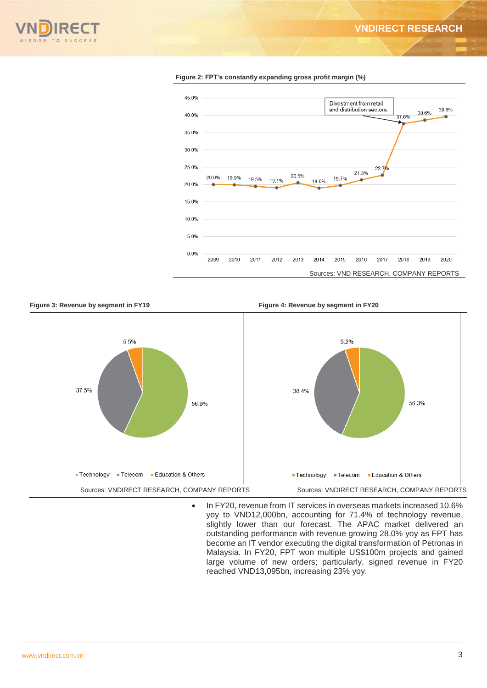**VNDIRECT RESEARCH**





**Figure 2: FPT's constantly expanding gross profit margin (%)**





• In FY20, revenue from IT services in overseas markets increased 10.6% yoy to VND12,000bn, accounting for 71.4% of technology revenue, slightly lower than our forecast. The APAC market delivered an outstanding performance with revenue growing 28.0% yoy as FPT has become an IT vendor executing the digital transformation of Petronas in Malaysia. In FY20, FPT won multiple US\$100m projects and gained large volume of new orders; particularly, signed revenue in FY20 reached VND13,095bn, increasing 23% yoy.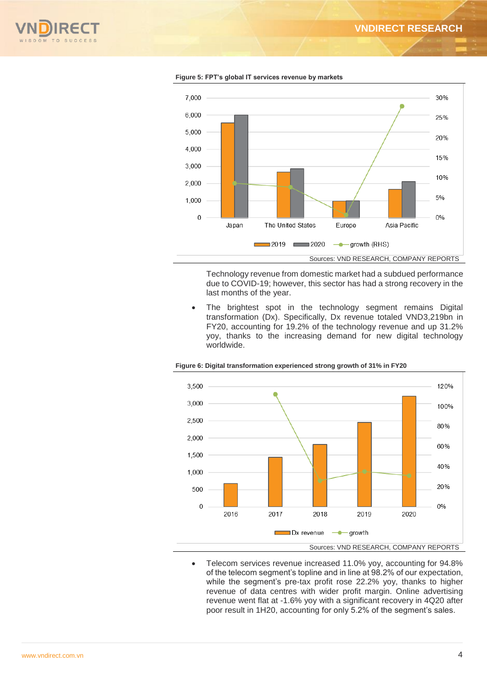



**Figure 5: FPT's global IT services revenue by markets**

Technology revenue from domestic market had a subdued performance due to COVID-19; however, this sector has had a strong recovery in the last months of the year.

 The brightest spot in the technology segment remains Digital transformation (Dx). Specifically, Dx revenue totaled VND3,219bn in FY20, accounting for 19.2% of the technology revenue and up 31.2% yoy, thanks to the increasing demand for new digital technology worldwide.



# **Figure 6: Digital transformation experienced strong growth of 31% in FY20**

 Telecom services revenue increased 11.0% yoy, accounting for 94.8% of the telecom segment's topline and in line at 98.2% of our expectation, while the segment's pre-tax profit rose 22.2% yoy, thanks to higher revenue of data centres with wider profit margin. Online advertising revenue went flat at -1.6% yoy with a significant recovery in 4Q20 after poor result in 1H20, accounting for only 5.2% of the segment's sales.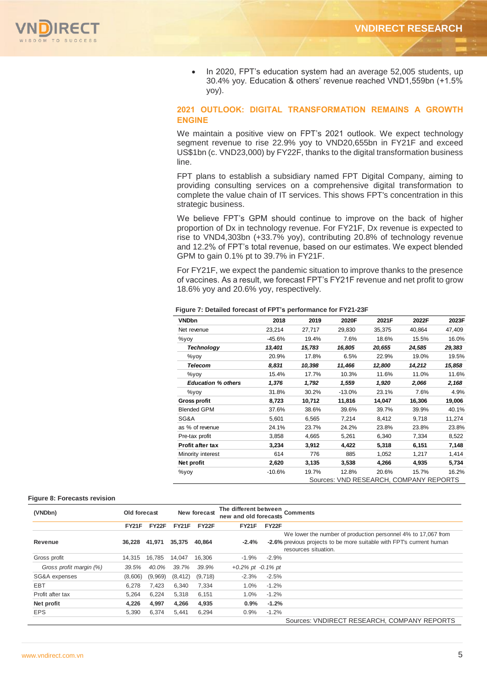

• In 2020, FPT's education system had an average 52,005 students, up 30.4% yoy. Education & others' revenue reached VND1,559bn (+1.5% yoy).

# **2021 OUTLOOK: DIGITAL TRANSFORMATION REMAINS A GROWTH ENGINE**

We maintain a positive view on FPT's 2021 outlook. We expect technology segment revenue to rise 22.9% yoy to VND20,655bn in FY21F and exceed US\$1bn (c. VND23,000) by FY22F, thanks to the digital transformation business line.

FPT plans to establish a subsidiary named FPT Digital Company, aiming to providing consulting services on a comprehensive digital transformation to complete the value chain of IT services. This shows FPT's concentration in this strategic business.

We believe FPT's GPM should continue to improve on the back of higher proportion of Dx in technology revenue. For FY21F, Dx revenue is expected to rise to VND4,303bn (+33.7% yoy), contributing 20.8% of technology revenue and 12.2% of FPT's total revenue, based on our estimates. We expect blended GPM to gain 0.1% pt to 39.7% in FY21F.

For FY21F, we expect the pandemic situation to improve thanks to the presence of vaccines. As a result, we forecast FPT's FY21F revenue and net profit to grow 18.6% yoy and 20.6% yoy, respectively.

#### **Figure 7: Detailed forecast of FPT's performance for FY21-23F**

| <b>VNDbn</b>              | 2018     | 2019   | 2020F    | 2021F  | 2022F                                  | 2023F  |
|---------------------------|----------|--------|----------|--------|----------------------------------------|--------|
| Net revenue               | 23,214   | 27,717 | 29,830   | 35,375 | 40,864                                 | 47,409 |
| $\%$ yoy                  | $-45.6%$ | 19.4%  | 7.6%     | 18.6%  | 15.5%                                  | 16.0%  |
| <b>Technology</b>         | 13,401   | 15,783 | 16,805   | 20,655 | 24,585                                 | 29,383 |
| $\%$ yoy                  | 20.9%    | 17.8%  | 6.5%     | 22.9%  | 19.0%                                  | 19.5%  |
| <b>Telecom</b>            | 8,831    | 10,398 | 11,466   | 12,800 | 14,212                                 | 15,858 |
| $\%$ yoy                  | 15.4%    | 17.7%  | 10.3%    | 11.6%  | 11.0%                                  | 11.6%  |
| <b>Education % others</b> | 1,376    | 1,792  | 1,559    | 1,920  | 2,066                                  | 2,168  |
| $\%$ yoy                  | 31.8%    | 30.2%  | $-13.0%$ | 23.1%  | 7.6%                                   | 4.9%   |
| <b>Gross profit</b>       | 8,723    | 10,712 | 11,816   | 14,047 | 16,306                                 | 19,006 |
| <b>Blended GPM</b>        | 37.6%    | 38.6%  | 39.6%    | 39.7%  | 39.9%                                  | 40.1%  |
| SG&A                      | 5,601    | 6,565  | 7,214    | 8,412  | 9,718                                  | 11,274 |
| as % of revenue           | 24.1%    | 23.7%  | 24.2%    | 23.8%  | 23.8%                                  | 23.8%  |
| Pre-tax profit            | 3,858    | 4,665  | 5,261    | 6,340  | 7,334                                  | 8,522  |
| <b>Profit after tax</b>   | 3,234    | 3,912  | 4,422    | 5,318  | 6,151                                  | 7,148  |
| Minority interest         | 614      | 776    | 885      | 1,052  | 1,217                                  | 1,414  |
| Net profit                | 2,620    | 3,135  | 3,538    | 4,266  | 4,935                                  | 5,734  |
| %yoy                      | $-10.6%$ | 19.7%  | 12.8%    | 20.6%  | 15.7%                                  | 16.2%  |
|                           |          |        |          |        | Sources: VND RESEARCH, COMPANY REPORTS |        |

#### **Figure 8: Forecasts revision**

| (VNDbn)                 | Old forecast |                    |          | New forecast       | The different between<br>new and old forecasts |                    | <b>Comments</b>                                                                                                                                                |
|-------------------------|--------------|--------------------|----------|--------------------|------------------------------------------------|--------------------|----------------------------------------------------------------------------------------------------------------------------------------------------------------|
|                         | <b>FY21F</b> | FY <sub>22</sub> F | FY21F    | FY <sub>22</sub> F | <b>FY21F</b>                                   | FY <sub>22</sub> F |                                                                                                                                                                |
| Revenue                 | 36,228       | 41,971             | 35,375   | 40,864             | $-2.4%$                                        |                    | We lower the number of production personnel 4% to 17,067 from<br>-2.6% previous projects to be more suitable with FPT's currrent human<br>resources situation. |
| Gross profit            | 14.315       | 16.785             | 14.047   | 16.306             | $-1.9%$                                        | $-2.9%$            |                                                                                                                                                                |
| Gross profit margin (%) | 39.5%        | 40.0%              | 39.7%    | 39.9%              | $+0.2\%$ pt $-0.1\%$ pt                        |                    |                                                                                                                                                                |
| SG&A expenses           | (8,606)      | (9,969)            | (8, 412) | (9,718)            | $-2.3%$                                        | $-2.5%$            |                                                                                                                                                                |
| <b>EBT</b>              | 6,278        | 7,423              | 6,340    | 7,334              | 1.0%                                           | $-1.2%$            |                                                                                                                                                                |
| Profit after tax        | 5.264        | 6.224              | 5.318    | 6.151              | 1.0%                                           | $-1.2%$            |                                                                                                                                                                |
| Net profit              | 4,226        | 4,997              | 4,266    | 4,935              | 0.9%                                           | $-1.2%$            |                                                                                                                                                                |
| <b>EPS</b>              | 5,390        | 6,374              | 5,441    | 6,294              | 0.9%                                           | $-1.2%$            |                                                                                                                                                                |
|                         |              |                    |          |                    |                                                |                    | Sources: VNDIRECT RESEARCH, COMPANY REPORTS                                                                                                                    |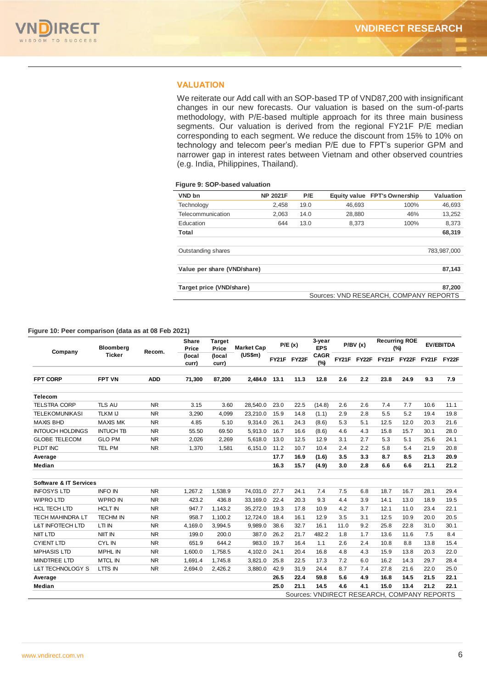

# **VALUATION**

We reiterate our Add call with an SOP-based TP of VND87,200 with insignificant changes in our new forecasts. Our valuation is based on the sum-of-parts methodology, with P/E-based multiple approach for its three main business segments. Our valuation is derived from the regional FY21F P/E median corresponding to each segment. We reduce the discount from 15% to 10% on technology and telecom peer's median P/E due to FPT's superior GPM and narrower gap in interest rates between Vietnam and other observed countries (e.g. India, Philippines, Thailand).

## **Figure 9: SOP-based valuation**

| VND bn                      | <b>NP 2021F</b> | P/E  |        | Equity value FPT's Ownership           | Valuation   |
|-----------------------------|-----------------|------|--------|----------------------------------------|-------------|
| Technology                  | 2.458           | 19.0 | 46.693 | 100%                                   | 46,693      |
| Telecommunication           | 2.063           | 14.0 | 28,880 | 46%                                    | 13,252      |
| Education                   | 644             | 13.0 | 8.373  | 100%                                   | 8,373       |
| Total                       |                 |      |        |                                        | 68,319      |
|                             |                 |      |        |                                        |             |
| Outstanding shares          |                 |      |        |                                        | 783.987.000 |
| Value per share (VND/share) |                 |      |        |                                        | 87,143      |
| Target price (VND/share)    |                 |      |        |                                        | 87,200      |
|                             |                 |      |        | Sources: VND RESEARCH, COMPANY REPORTS |             |

### **Figure 10: Peer comparison (data as at 08 Feb 2021)**

| Company                           | <b>Bloomberg</b> | Recom.         | <b>Share</b><br>Price | <b>Target</b><br>Price | <b>Market Cap</b> |      | P/E(x)      | 3-year<br><b>EPS</b> |      | P/BV(x)     |                                             | <b>Recurring ROE</b><br>(%) |      | <b>EV/EBITDA</b> |
|-----------------------------------|------------------|----------------|-----------------------|------------------------|-------------------|------|-------------|----------------------|------|-------------|---------------------------------------------|-----------------------------|------|------------------|
|                                   | <b>Ticker</b>    |                | (local<br>curr)       | (local<br>curr)        | (US\$m)           |      | FY21F FY22F | <b>CAGR</b><br>(%)   |      | FY21F FY22F | FY21F FY22F                                 |                             |      | FY21F FY22F      |
| <b>FPT CORP</b>                   | <b>FPT VN</b>    | <b>ADD</b>     | 71,300                | 87,200                 | 2,484.0           | 13.1 | 11.3        | 12.8                 | 2.6  | 2.2         | 23.8                                        | 24.9                        | 9.3  | 7.9              |
| <b>Telecom</b>                    |                  |                |                       |                        |                   |      |             |                      |      |             |                                             |                             |      |                  |
| <b>TELSTRA CORP</b>               | TLS AU           | <b>NR</b>      | 3.15                  | 3.60                   | 28,540.0          | 23.0 | 22.5        | (14.8)               | 2.6  | 2.6         | 7.4                                         | 7.7                         | 10.6 | 11.1             |
| <b>TELEKOMUNIKASI</b>             | <b>TLKM IJ</b>   | <b>NR</b>      | 3,290                 | 4,099                  | 23,210.0          | 15.9 | 14.8        | (1.1)                | 2.9  | 2.8         | 5.5                                         | 5.2                         | 19.4 | 19.8             |
| <b>MAXIS BHD</b>                  | <b>MAXIS MK</b>  | <b>NR</b>      | 4.85                  | 5.10                   | 9,314.0           | 26.1 | 24.3        | (8.6)                | 5.3  | 5.1         | 12.5                                        | 12.0                        | 20.3 | 21.6             |
| <b>INTOUCH HOLDINGS</b>           | <b>INTUCH TB</b> | <b>NR</b>      | 55.50                 | 69.50                  | 5,913.0           | 16.7 | 16.6        | (8.6)                | 4.6  | 4.3         | 15.8                                        | 15.7                        | 30.1 | 28.0             |
| <b>GLOBE TELECOM</b>              | <b>GLO PM</b>    | <b>NR</b>      | 2,026                 | 2,269                  | 5,618.0           | 13.0 | 12.5        | 12.9                 | 3.1  | 2.7         | 5.3                                         | 5.1                         | 25.6 | 24.1             |
| PLDT INC                          | <b>TEL PM</b>    | NR.            | 1,370                 | 1,581                  | 6,151.0           | 11.2 | 10.7        | 10.4                 | 2.4  | 2.2         | 5.8                                         | 5.4                         | 21.9 | 20.8             |
| Average                           |                  |                |                       |                        |                   | 17.7 | 16.9        | (1.6)                | 3.5  | 3.3         | 8.7                                         | 8.5                         | 21.3 | 20.9             |
| Median                            |                  |                |                       |                        |                   | 16.3 | 15.7        | (4.9)                | 3.0  | 2.8         | 6.6                                         | 6.6                         | 21.1 | 21.2             |
|                                   |                  |                |                       |                        |                   |      |             |                      |      |             |                                             |                             |      |                  |
| <b>Software &amp; IT Services</b> |                  |                |                       |                        |                   |      |             |                      |      |             |                                             |                             |      |                  |
| <b>INFOSYS LTD</b>                | <b>INFO IN</b>   | <b>NR</b>      | 1,267.2               | 1,538.9                | 74,031.0          | 27.7 | 24.1        | 7.4                  | 7.5  | 6.8         | 18.7                                        | 16.7                        | 28.1 | 29.4             |
| <b>WIPRO LTD</b>                  | <b>WPRO IN</b>   | <b>NR</b>      | 423.2                 | 436.8                  | 33,169.0          | 22.4 | 20.3        | 9.3                  | 4.4  | 3.9         | 14.1                                        | 13.0                        | 18.9 | 19.5             |
| <b>HCL TECH LTD</b>               | <b>HCLT IN</b>   | <b>NR</b>      | 947.7                 | 1,143.2                | 35,272.0          | 19.3 | 17.8        | 10.9                 | 4.2  | 3.7         | 12.1                                        | 11.0                        | 23.4 | 22.1             |
| <b>TECH MAHINDRA LT</b>           | <b>TECHM IN</b>  | <b>NR</b>      | 958.7                 | 1,100.2                | 12,724.0          | 18.4 | 16.1        | 12.9                 | 3.5  | 3.1         | 12.5                                        | 10.9                        | 20.0 | 20.5             |
| <b>L&amp;T INFOTECH LTD</b>       | LTI IN           | N <sub>R</sub> | 4,169.0               | 3,994.5                | 9,989.0           | 38.6 | 32.7        | 16.1                 | 11.0 | 9.2         | 25.8                                        | 22.8                        | 31.0 | 30.1             |
| <b>NIIT LTD</b>                   | <b>NIIT IN</b>   | <b>NR</b>      | 199.0                 | 200.0                  | 387.0             | 26.2 | 21.7        | 482.2                | 1.8  | 1.7         | 13.6                                        | 11.6                        | 7.5  | 8.4              |
| <b>CYIENT LTD</b>                 | <b>CYLIN</b>     | NR.            | 651.9                 | 644.2                  | 983.0             | 19.7 | 16.4        | 1.1                  | 2.6  | 2.4         | 10.8                                        | 8.8                         | 13.8 | 15.4             |
| <b>MPHASIS LTD</b>                | <b>MPHL IN</b>   | <b>NR</b>      | 1.600.0               | 1,758.5                | 4,102.0           | 24.1 | 20.4        | 16.8                 | 4.8  | 4.3         | 15.9                                        | 13.8                        | 20.3 | 22.0             |
| <b>MINDTREE LTD</b>               | <b>MTCL IN</b>   | <b>NR</b>      | 1,691.4               | 1,745.8                | 3,821.0           | 25.8 | 22.5        | 17.3                 | 7.2  | 6.0         | 16.2                                        | 14.3                        | 29.7 | 28.4             |
| L&T TECHNOLOGY S                  | LTTS IN          | <b>NR</b>      | 2,694.0               | 2,426.2                | 3,880.0           | 42.9 | 31.9        | 24.4                 | 8.7  | 7.4         | 27.8                                        | 21.6                        | 22.0 | 25.0             |
| Average                           |                  |                |                       |                        |                   | 26.5 | 22.4        | 59.8                 | 5.6  | 4.9         | 16.8                                        | 14.5                        | 21.5 | 22.1             |
| Median                            |                  |                |                       |                        |                   | 25.0 | 21.1        | 14.5                 | 4.6  | 4.1         | 15.0                                        | 13.4                        | 21.2 | 22.1             |
|                                   |                  |                |                       |                        |                   |      |             |                      |      |             | Sources: VNDIRECT RESEARCH, COMPANY REPORTS |                             |      |                  |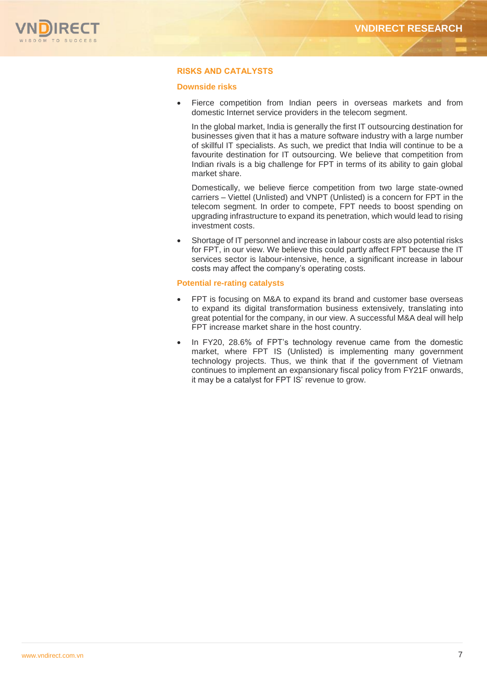

# **RISKS AND CATALYSTS**

## **Downside risks**

 Fierce competition from Indian peers in overseas markets and from domestic Internet service providers in the telecom segment.

In the global market, India is generally the first IT outsourcing destination for businesses given that it has a mature software industry with a large number of skillful IT specialists. As such, we predict that India will continue to be a favourite destination for IT outsourcing. We believe that competition from Indian rivals is a big challenge for FPT in terms of its ability to gain global market share.

Domestically, we believe fierce competition from two large state-owned carriers – Viettel (Unlisted) and VNPT (Unlisted) is a concern for FPT in the telecom segment. In order to compete, FPT needs to boost spending on upgrading infrastructure to expand its penetration, which would lead to rising investment costs.

 Shortage of IT personnel and increase in labour costs are also potential risks for FPT, in our view. We believe this could partly affect FPT because the IT services sector is labour-intensive, hence, a significant increase in labour costs may affect the company's operating costs.

## **Potential re-rating catalysts**

- FPT is focusing on M&A to expand its brand and customer base overseas to expand its digital transformation business extensively, translating into great potential for the company, in our view. A successful M&A deal will help FPT increase market share in the host country.
- In FY20, 28.6% of FPT's technology revenue came from the domestic market, where FPT IS (Unlisted) is implementing many government technology projects. Thus, we think that if the government of Vietnam continues to implement an expansionary fiscal policy from FY21F onwards, it may be a catalyst for FPT IS' revenue to grow.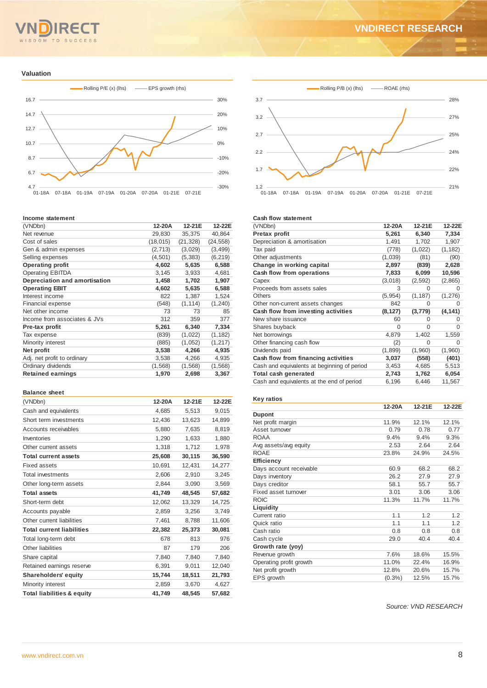## $T<sub>O</sub>$ **SUCCESS**  $M$

# **VNDIRECT RESEARCH**

#### **Valuation**



### **Income statement**

| (VNDbn)                       | 12-20A   | 12-21E    | 12-22E    |
|-------------------------------|----------|-----------|-----------|
| Net revenue                   | 29,830   | 35,375    | 40,864    |
| Cost of sales                 | (18,015) | (21, 328) | (24, 558) |
| Gen & admin expenses          | (2, 713) | (3,029)   | (3, 499)  |
| Selling expenses              | (4,501)  | (5, 383)  | (6, 219)  |
| <b>Operating profit</b>       | 4,602    | 5,635     | 6,588     |
| <b>Operating EBITDA</b>       | 3,145    | 3,933     | 4,681     |
| Depreciation and amortisation | 1,458    | 1,702     | 1,907     |
| <b>Operating EBIT</b>         | 4,602    | 5,635     | 6,588     |
| Interest income               | 822      | 1,387     | 1,524     |
| Financial expense             | (548)    | (1, 114)  | (1, 240)  |
| Net other income              | 73       | 73        | 85        |
| Income from associates & JVs  | 312      | 359       | 377       |
| Pre-tax profit                | 5,261    | 6,340     | 7,334     |
| Tax expense                   | (839)    | (1,022)   | (1, 182)  |
| Minority interest             | (885)    | (1,052)   | (1, 217)  |
| Net profit                    | 3,538    | 4,266     | 4,935     |
| Adj. net profit to ordinary   | 3,538    | 4,266     | 4,935     |
| Ordinary dividends            | (1,568)  | (1,568)   | (1,568)   |
| <b>Retained earnings</b>      | 1,970    | 2,698     | 3,367     |
|                               |          |           |           |

## **Balance sheet**

| (VNDbn)                               | 12-20A | 12-21E | 12-22E |
|---------------------------------------|--------|--------|--------|
| Cash and equivalents                  | 4,685  | 5,513  | 9,015  |
| Short term investments                | 12,436 | 13,623 | 14,899 |
| Accounts receivables                  | 5,880  | 7,635  | 8,819  |
| Inventories                           | 1,290  | 1,633  | 1,880  |
| Other current assets                  | 1,318  | 1,712  | 1,978  |
| <b>Total current assets</b>           | 25,608 | 30,115 | 36,590 |
| Fixed assets                          | 10,691 | 12,431 | 14,277 |
| <b>Total investments</b>              | 2,606  | 2,910  | 3,245  |
| Other long-term assets                | 2,844  | 3,090  | 3,569  |
| <b>Total assets</b>                   | 41,749 | 48,545 | 57,682 |
| Short-term debt                       | 12,062 | 13,329 | 14,725 |
| Accounts payable                      | 2,859  | 3,256  | 3,749  |
| Other current liabilities             | 7,461  | 8,788  | 11,606 |
| <b>Total current liabilities</b>      | 22,382 | 25,373 | 30,081 |
| Total long-term debt                  | 678    | 813    | 976    |
| Other liabilities                     | 87     | 179    | 206    |
| Share capital                         | 7,840  | 7,840  | 7,840  |
| Retained earnings reserve             | 6,391  | 9,011  | 12,040 |
| <b>Shareholders' equity</b>           | 15,744 | 18,511 | 21,793 |
| Minority interest                     | 2,859  | 3,670  | 4,627  |
| <b>Total liabilities &amp; equity</b> | 41.749 | 48.545 | 57.682 |



#### **Cash flow statement**

| (VNDbn)                                     | 12-20A   | 12-21E   | 12-22E       |
|---------------------------------------------|----------|----------|--------------|
| Pretax profit                               | 5,261    | 6,340    | 7,334        |
| Depreciation & amortisation                 | 1,491    | 1,702    | 1,907        |
| Tax paid                                    | (778)    | (1,022)  | (1, 182)     |
| Other adjustments                           | (1,039)  | (81)     | (90)         |
| Change in working capital                   | 2,897    | (839)    | 2,628        |
| Cash flow from operations                   | 7,833    | 6,099    | 10,596       |
| Capex                                       | (3,018)  | (2,592)  | (2,865)      |
| Proceeds from assets sales                  | 3        | 0        | $\mathbf{O}$ |
| <b>Others</b>                               | (5, 954) | (1, 187) | (1, 276)     |
| Other non-current assets changes            | 842      | O        | 0            |
| Cash flow from investing activities         | (8, 127) | (3, 779) | (4, 141)     |
| New share issuance                          | 60       | 0        | 0            |
| Shares buyback                              | $\Omega$ | 0        | O            |
| Net borrowings                              | 4,879    | 1,402    | 1,559        |
| Other financing cash flow                   | (2)      | $\Omega$ | O            |
| Dividends paid                              | (1,899)  | (1,960)  | (1,960)      |
| Cash flow from financing activities         | 3,037    | (558)    | (401)        |
| Cash and equivalents at beginning of period | 3,453    | 4,685    | 5,513        |
| Total cash generated                        | 2,743    | 1,762    | 6,054        |
| Cash and equivalents at the end of period   | 6,196    | 6,446    | 11,567       |
|                                             |          |          |              |

#### **Key ratios**

|                         | 12-20A    | 12-21E | 12-22E |
|-------------------------|-----------|--------|--------|
| <b>Dupont</b>           |           |        |        |
| Net profit margin       | 11.9%     | 12.1%  | 12.1%  |
| Asset turnover          | 0.79      | 0.78   | 0.77   |
| <b>ROAA</b>             | 9.4%      | 9.4%   | 9.3%   |
| Avg assets/avg equity   | 2.53      | 2.64   | 2.64   |
| <b>ROAE</b>             | 23.8%     | 24.9%  | 24.5%  |
| <b>Efficiency</b>       |           |        |        |
| Days account receivable | 60.9      | 68.2   | 68.2   |
| Days inventory          | 26.2      | 27.9   | 27.9   |
| Days creditor           | 58.1      | 55.7   | 55.7   |
| Fixed asset turnover    | 3.01      | 3.06   | 3.06   |
| <b>ROIC</b>             | 11.3%     | 11.7%  | 11.7%  |
| Liquidity               |           |        |        |
| Current ratio           | 1.1       | 1.2    | 1.2    |
| Quick ratio             | 1.1       | 1.1    | 1.2    |
| Cash ratio              | 0.8       | 0.8    | 0.8    |
| Cash cycle              | 29.0      | 40.4   | 40.4   |
| Growth rate (yoy)       |           |        |        |
| Revenue growth          | 7.6%      | 18.6%  | 15.5%  |
| Operating profit growth | 11.0%     | 22.4%  | 16.9%  |
| Net profit growth       | 12.8%     | 20.6%  | 15.7%  |
| EPS growth              | $(0.3\%)$ | 12.5%  | 15.7%  |

*Source: VND RESEARCH*